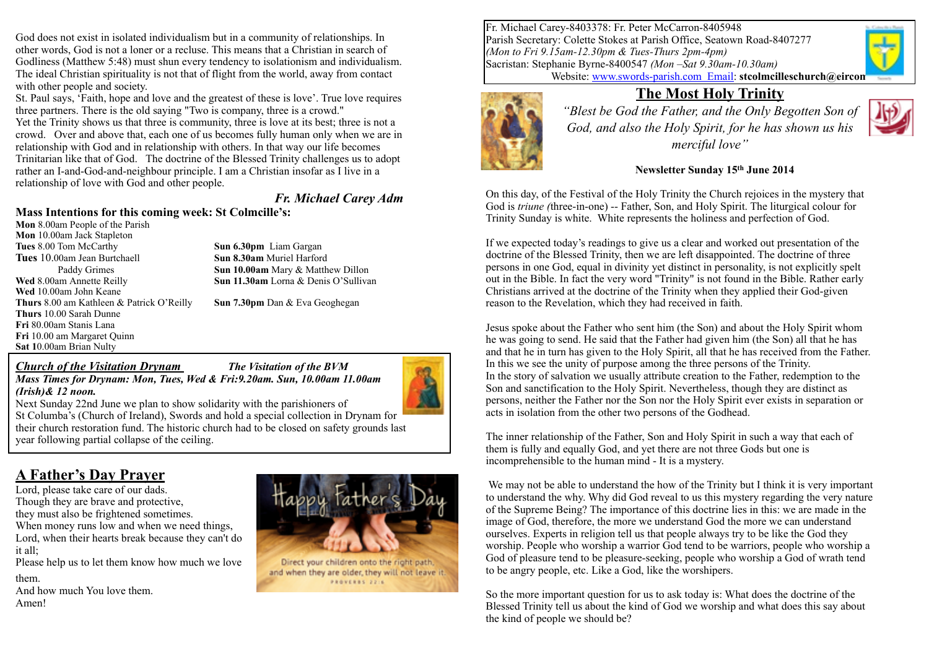God does not exist in isolated individualism but in a community of relationships. In other words, God is not a loner or a recluse. This means that a Christian in search of Godliness (Matthew 5:48) must shun every tendency to isolationism and individualism. The ideal Christian spirituality is not that of flight from the world, away from contact with other people and society.

St. Paul says, 'Faith, hope and love and the greatest of these is love'. True love requires three partners. There is the old saying "Two is company, three is a crowd."

Yet the Trinity shows us that three is community, three is love at its best; three is not a crowd. Over and above that, each one of us becomes fully human only when we are in relationship with God and in relationship with others. In that way our life becomes Trinitarian like that of God. The doctrine of the Blessed Trinity challenges us to adopt rather an I-and-God-and-neighbour principle. I am a Christian insofar as I live in a relationship of love with God and other people.

#### *Fr. Michael Carey Adm*

#### **Mass Intentions for this coming week: St Colmcille's:**

**Mon** 8.00am People of the Parish **Mon** 10.00am Jack Stapleton **Tues 8.00 Tom McCarthy <b>Sun 6.30pm** Liam Gargan **Tues** 10.00am Jean Burtchaell **Sun 8.30am** Muriel Harford **Wed** 8.00am Annette Reilly **Sun 11.30am** Lorna & Denis O'Sullivan **Wed** 10.00am John Keane **Thurs** 8.00 am Kathleen & Patrick O'Reilly **Sun 7.30pm** Dan & Eva Geoghegan **Thurs** 10.00 Sarah Dunne **Fri** 80.00am Stanis Lana **Fri** 10.00 am Margaret Quinn **Sat 1**0.00am Brian Nulty

Paddy Grimes **Sun 10.00am** Mary & Matthew Dillon

#### *Church of the Visitation Drynam The Visitation of the BVM Mass Times for Drynam: Mon, Tues, Wed & Fri:9.20am. Sun, 10.00am 11.00am*

*(Irish)& 12 noon.* 



Next Sunday 22nd June we plan to show solidarity with the parishioners of St Columba's (Church of Ireland), Swords and hold a special collection in Drynam for their church restoration fund. The historic church had to be closed on safety grounds last year following partial collapse of the ceiling.

# **A Father's Day Prayer**

Lord, please take care of our dads. Though they are brave and protective, they must also be frightened sometimes. When money runs low and when we need things. Lord, when their hearts break because they can't do it all;

Please help us to let them know how much we love them.

And how much You love them. Amen!



Direct your children onto the right path, and when they are older, they will not leave it. PROVERES 2216

Fr. Michael Carey-8403378: Fr. Peter McCarron-8405948 Parish Secretary: Colette Stokes at Parish Office, Seatown Road-8407277 *(Mon to Fri 9.15am-12.30pm & Tues-Thurs 2pm-4pm)* Sacristan: Stephanie Byrne-8400547 *(Mon –Sat 9.30am-10.30am)* Website: [www.swords-parish.com Email:](http://www.swords-parish.com%20%20email) **stcolmcilleschurch@eircon** 



### **The Most Holy Trinity**

*"Blest be God the Father, and the Only Begotten Son of God, and also the Holy Spirit, for he has shown us his merciful love"* 



#### **Newsletter Sunday 15th June 2014**

On this day, of the Festival of the Holy Trinity the Church rejoices in the mystery that God is *triune (*three-in-one) -- Father, Son, and Holy Spirit. The liturgical colour for Trinity Sunday is white. White represents the holiness and perfection of God.

If we expected today's readings to give us a clear and worked out presentation of the doctrine of the Blessed Trinity, then we are left disappointed. The doctrine of three persons in one God, equal in divinity yet distinct in personality, is not explicitly spelt out in the Bible. In fact the very word "Trinity" is not found in the Bible. Rather early Christians arrived at the doctrine of the Trinity when they applied their God-given reason to the Revelation, which they had received in faith.

Jesus spoke about the Father who sent him (the Son) and about the Holy Spirit whom he was going to send. He said that the Father had given him (the Son) all that he has and that he in turn has given to the Holy Spirit, all that he has received from the Father. In this we see the unity of purpose among the three persons of the Trinity. In the story of salvation we usually attribute creation to the Father, redemption to the Son and sanctification to the Holy Spirit. Nevertheless, though they are distinct as persons, neither the Father nor the Son nor the Holy Spirit ever exists in separation or acts in isolation from the other two persons of the Godhead.

The inner relationship of the Father, Son and Holy Spirit in such a way that each of them is fully and equally God, and yet there are not three Gods but one is incomprehensible to the human mind - It is a mystery.

We may not be able to understand the how of the Trinity but I think it is very important to understand the why. Why did God reveal to us this mystery regarding the very nature of the Supreme Being? The importance of this doctrine lies in this: we are made in the image of God, therefore, the more we understand God the more we can understand ourselves. Experts in religion tell us that people always try to be like the God they worship. People who worship a warrior God tend to be warriors, people who worship a God of pleasure tend to be pleasure-seeking, people who worship a God of wrath tend to be angry people, etc. Like a God, like the worshipers.

So the more important question for us to ask today is: What does the doctrine of the Blessed Trinity tell us about the kind of God we worship and what does this say about the kind of people we should be?